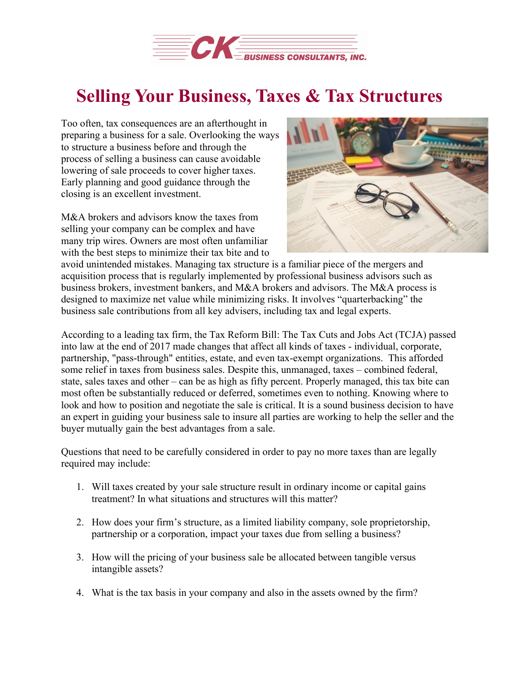

## **Selling Your Business, Taxes & Tax Structures**

Too often, tax consequences are an afterthought in preparing a business for a sale. Overlooking the ways to structure a business before and through the process of selling a business can cause avoidable lowering of sale proceeds to cover higher taxes. Early planning and good guidance through the closing is an excellent investment.

M&A brokers and advisors know the taxes from selling your company can be complex and have many trip wires. Owners are most often unfamiliar with the best steps to minimize their tax bite and to



avoid unintended mistakes. Managing tax structure is a familiar piece of the mergers and acquisition process that is regularly implemented by professional business advisors such as business brokers, investment bankers, and M&A brokers and advisors. The M&A process is designed to maximize net value while minimizing risks. It involves "quarterbacking" the business sale contributions from all key advisers, including tax and legal experts.

According to a leading tax firm, the Tax Reform Bill: The Tax Cuts and Jobs Act (TCJA) passed into law at the end of 2017 made changes that affect all kinds of taxes - individual, corporate, partnership, "pass-through" entities, estate, and even tax-exempt organizations. This afforded some relief in taxes from business sales. Despite this, unmanaged, taxes – combined federal, state, sales taxes and other – can be as high as fifty percent. Properly managed, this tax bite can most often be substantially reduced or deferred, sometimes even to nothing. Knowing where to look and how to position and negotiate the sale is critical. It is a sound business decision to have an expert in guiding your business sale to insure all parties are working to help the seller and the buyer mutually gain the best advantages from a sale.

Questions that need to be carefully considered in order to pay no more taxes than are legally required may include:

- 1. Will taxes created by your sale structure result in ordinary income or capital gains treatment? In what situations and structures will this matter?
- 2. How does your firm's structure, as a limited liability company, sole proprietorship, partnership or a corporation, impact your taxes due from selling a business?
- 3. How will the pricing of your business sale be allocated between tangible versus intangible assets?
- 4. What is the tax basis in your company and also in the assets owned by the firm?